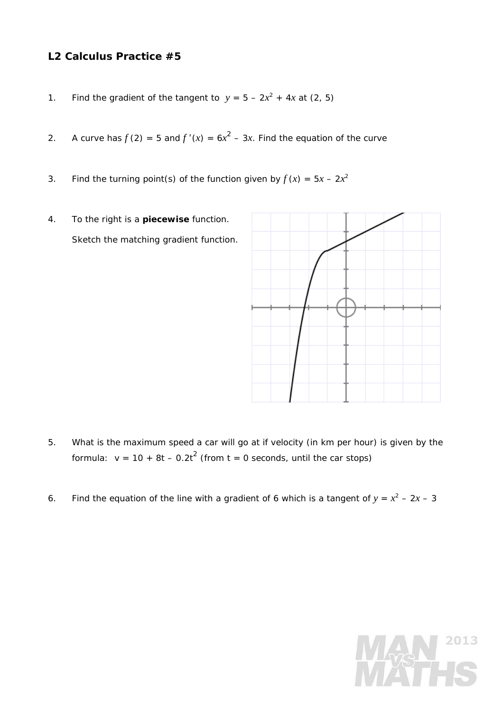## **L2 Calculus Practice #5**

- 1. Find the gradient of the tangent to  $y = 5 2x^2 + 4x$  at (2, 5)
- 2. A curve has  $f(2) = 5$  and  $f'(x) = 6x^2 3x$ . Find the equation of the curve
- 3. Find the turning point(s) of the function given by  $f(x) = 5x 2x^2$
- 4. To the right is a **piecewise** function. Sketch the matching gradient function.



- 5. What is the maximum speed a car will go at if velocity (in km per hour) is given by the formula:  $v = 10 + 8t - 0.2t^2$  (from  $t = 0$  seconds, until the car stops)
- 6. Find the equation of the line with a gradient of 6 which is a tangent of  $y = x^2 2x 3$